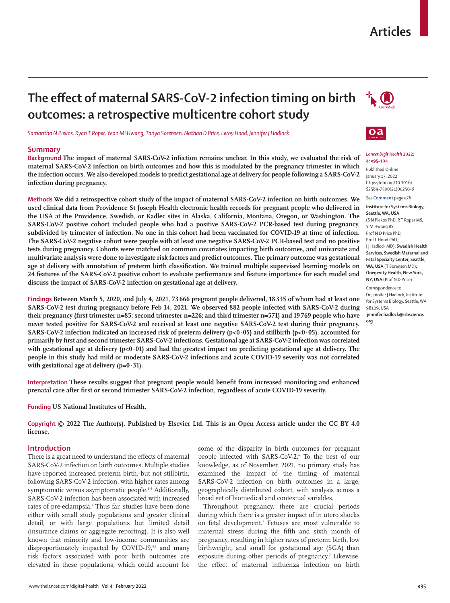# **Articles**

# **The effect of maternal SARS-CoV-2 infection timing on birth outcomes: a retrospective multicentre cohort study**

*Samantha N Piekos, Ryan T Roper, Yeon Mi Hwang, Tanya Sorensen, Nathan D Price, Leroy Hood, Jennifer J Hadlock*

### **Summary**

**Background The impact of maternal SARS-CoV-2 infection remains unclear. In this study, we evaluated the risk of maternal SARS-CoV-2 infection on birth outcomes and how this is modulated by the pregnancy trimester in which the infection occurs. We also developed models to predict gestational age at delivery for people following a SARS-CoV-2 infection during pregnancy.**

**Methods We did a retrospective cohort study of the impact of maternal SARS-CoV-2 infection on birth outcomes. We used clinical data from Providence St Joseph Health electronic health records for pregnant people who delivered in the USA at the Providence, Swedish, or Kadlec sites in Alaska, California, Montana, Oregon, or Washington. The SARS-CoV-2 positive cohort included people who had a positive SARS-CoV-2 PCR-based test during pregnancy, subdivided by trimester of infection. No one in this cohort had been vaccinated for COVID-19 at time of infection. The SARS-CoV-2 negative cohort were people with at least one negative SARS-CoV-2 PCR-based test and no positive tests during pregnancy. Cohorts were matched on common covariates impacting birth outcomes, and univariate and multivariate analysis were done to investigate risk factors and predict outcomes. The primary outcome was gestational age at delivery with annotation of preterm birth classification. We trained multiple supervised learning models on 24 features of the SARS-CoV-2 positive cohort to evaluate performance and feature importance for each model and discuss the impact of SARS-CoV-2 infection on gestational age at delivery.**

**Findings Between March 5, 2020, and July 4, 2021, 73 666 pregnant people delivered, 18 335 of whom had at least one SARS-CoV-2 test during pregnancy before Feb 14, 2021. We observed 882 people infected with SARS-CoV-2 during their pregnancy (first trimester n=85; second trimester n=226; and third trimester n=571) and 19 769 people who have never tested positive for SARS-CoV-2 and received at least one negative SARS-CoV-2 test during their pregnancy. SARS-CoV-2 infection indicated an increased risk of preterm delivery (p<0·05) and stillbirth (p<0·05), accounted for primarily by first and second trimester SARS-CoV-2 infections. Gestational age at SARS-CoV-2 infection was correlated with gestational age at delivery (p<0·01) and had the greatest impact on predicting gestational age at delivery. The people in this study had mild or moderate SARS-CoV-2 infections and acute COVID-19 severity was not correlated with gestational age at delivery (p=0·31).**

**Interpretation These results suggest that pregnant people would benefit from increased monitoring and enhanced prenatal care after first or second trimester SARS-CoV-2 infection, regardless of acute COVID-19 severity.**

**Funding US National Institutes of Health.**

**Copyright © 2022 The Author(s). Published by Elsevier Ltd. This is an Open Access article under the CC BY 4.0 license.**

## **Introduction**

There is a great need to understand the effects of maternal SARS-CoV-2 infection on birth outcomes. Multiple studies have reported increased preterm birth, but not stillbirth, following SARS-CoV-2 infection, with higher rates among symptomatic versus asymptomatic people.<sup>1-3</sup> Additionally, SARS-CoV-2 infection has been associated with increased rates of pre-eclampsia.2 Thus far, studies have been done either with small study populations and greater clinical detail, or with large populations but limited detail (insurance claims or aggregate reporting). It is also well known that minority and low-income communities are disproportionately impacted by COVID-19,<sup>45</sup> and many risk factors associated with poor birth outcomes are elevated in these populations, which could account for

some of the disparity in birth outcomes for pregnant people infected with SARS-CoV-2.6 To the best of our knowledge, as of November, 2021, no primary study has examined the impact of the timing of maternal SARS-CoV-2 infection on birth outcomes in a large, geographically distributed cohort, with analysis across a broad set of biomedical and contextual variables.

Throughout pregnancy, there are crucial periods during which there is a greater impact of in utero shocks on fetal development.7 Fetuses are most vulnerable to maternal stress during the fifth and sixth month of pregnancy, resulting in higher rates of preterm birth, low birthweight, and small for gestational age (SGA) than exposure during other periods of pregnancy.<sup>7</sup> Likewise, the effect of maternal influenza infection on birth





#### *Lancet Digit Health* **2022; 4: e95–104**

Published **Online** January 13, 2022 https://doi.org/10.1016/ S2589-7500(21)00250-8 See **Comment** page e76

# **Institute for Systems Biology,**

**Seattle, WA, USA**  (S N Piekos PhD, R T Roper MS, Y M Hwang BS, Prof N D Price PhD, Prof L Hood PhD, J J Hadlock MD)**; Swedish Health Services, Swedish Maternal and Fetal Specialty Center, Seattle, WA, USA** (T Sorensen MD)**; Onegevity Health, New York, NY, USA** (Prof N D Price) Correspondence to:

Dr Jennifer J Hadlock, Institute for Systems Biology, Seattle, WA 98109, USA **jennifer.hadlock@isbscience.**

**org**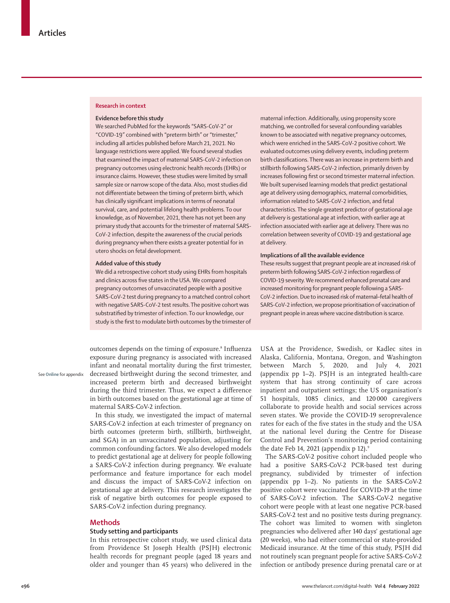## **Research in context**

#### **Evidence before this study**

We searched PubMed for the keywords "SARS-CoV-2" or "COVID-19" combined with "preterm birth" or "trimester," including all articles published before March 21, 2021. No language restrictions were applied. We found several studies that examined the impact of maternal SARS-CoV-2 infection on pregnancy outcomes using electronic health records (EHRs) or insurance claims. However, these studies were limited by small sample size or narrow scope of the data. Also, most studies did not differentiate between the timing of preterm birth, which has clinically significant implications in terms of neonatal survival, care, and potential lifelong health problems. To our knowledge, as of November, 2021, there has not yet been any primary study that accounts for the trimester of maternal SARS-CoV-2 infection, despite the awareness of the crucial periods during pregnancy when there exists a greater potential for in utero shocks on fetal development.

#### **Added value of this study**

We did a retrospective cohort study using EHRs from hospitals and clinics across five states in the USA. We compared pregnancy outcomes of unvaccinated people with a positive SARS-CoV-2 test during pregnancy to a matched control cohort with negative SARS-CoV-2 test results. The positive cohort was substratified by trimester of infection. To our knowledge, our study is the first to modulate birth outcomes by the trimester of

outcomes depends on the timing of exposure.<sup>8</sup> Influenza exposure during pregnancy is associated with increased infant and neonatal mortality during the first trimester, decreased birthweight during the second trimester, and increased preterm birth and decreased birthweight during the third trimester. Thus, we expect a difference in birth outcomes based on the gestational age at time of maternal SARS-CoV-2 infection.

In this study, we investigated the impact of maternal SARS-CoV-2 infection at each trimester of pregnancy on birth outcomes (preterm birth, stillbirth, birthweight, and SGA) in an unvaccinated population, adjusting for common confounding factors. We also developed models to predict gestational age at delivery for people following a SARS-CoV-2 infection during pregnancy. We evaluate performance and feature importance for each model and discuss the impact of SARS-CoV-2 infection on gestational age at delivery. This research investigates the risk of negative birth outcomes for people exposed to SARS-CoV-2 infection during pregnancy.

#### **Methods**

See **Online** for appendix

## **Study setting and participants**

In this retrospective cohort study, we used clinical data from Providence St Joseph Health (PSJH) electronic health records for pregnant people (aged 18 years and older and younger than 45 years) who delivered in the maternal infection. Additionally, using propensity score matching, we controlled for several confounding variables known to be associated with negative pregnancy outcomes, which were enriched in the SARS-CoV-2 positive cohort. We evaluated outcomes using delivery events, including preterm birth classifications. There was an increase in preterm birth and stillbirth following SARS-CoV-2 infection, primarily driven by increases following first or second trimester maternal infection. We built supervised learning models that predict gestational age at delivery using demographics, maternal comorbidities, information related to SARS-CoV-2 infection, and fetal characteristics. The single greatest predictor of gestational age at delivery is gestational age at infection, with earlier age at infection associated with earlier age at delivery. There was no correlation between severity of COVID-19 and gestational age at delivery.

#### **Implications of all the available evidence**

These results suggest that pregnant people are at increased risk of preterm birth following SARS-CoV-2 infection regardless of COVID-19 severity. We recommend enhanced prenatal care and increased monitoring for pregnant people following a SARS-CoV-2 infection. Due to increased risk of maternal–fetal health of SARS-CoV-2 infection, we propose prioritisation of vaccination of pregnant people in areas where vaccine distribution is scarce.

USA at the Providence, Swedish, or Kadlec sites in Alaska, California, Montana, Oregon, and Washington between March 5, 2020, and July 4, 2021 (appendix pp 1–2). PSJH is an integrated health-care system that has strong continuity of care across inpatient and outpatient settings; the US organisation's 51 hospitals, 1085 clinics, and 120 000 caregivers collaborate to provide health and social services across seven states. We provide the COVID-19 seroprevalence rates for each of the five states in the study and the USA at the national level during the Centre for Disease Control and Prevention's monitoring period containing the date Feb 14, 2021 (appendix  $p$  12).<sup>9</sup>

The SARS-CoV-2 positive cohort included people who had a positive SARS-CoV-2 PCR-based test during pregnancy, subdivided by trimester of infection (appendix pp 1–2). No patients in the SARS-CoV-2 positive cohort were vaccinated for COVID-19 at the time of SARS-CoV-2 infection. The SARS-CoV-2 negative cohort were people with at least one negative PCR-based SARS-CoV-2 test and no positive tests during pregnancy. The cohort was limited to women with singleton pregnancies who delivered after 140 days' gestational age (20 weeks), who had either commercial or state-provided Medicaid insurance. At the time of this study, PSJH did not routinely scan pregnant people for active SARS-CoV-2 infection or antibody presence during prenatal care or at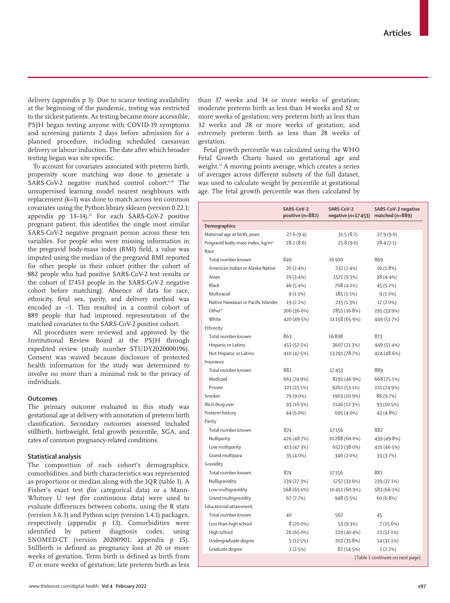www.thelancet.com/digital-health **Vol 4 February 2022 e97**

delivery (appendix p 3). Due to scarce testing availability at the beginning of the pandemic, testing was restricted to the sickest patients. As testing became more accessible, PSJH began testing anyone with COVID-19 symptoms and screening patients 2 days before admission for a planned procedure, including scheduled caesarean delivery or labour induction. The date after which broader testing began was site specific.

To account for covariates associated with preterm birth, propensity score matching was done to generate a SARS-CoV-2 negative matched control cohort.<sup>6,10</sup> The unsupervised learning model nearest neighbours with replacement (k=1) was done to match across ten common covariates using the Python library sklearn (version 0.22.1; appendix pp  $13-14$ ).<sup>11</sup> For each SARS-CoV-2 positive pregnant patient, this identifies the single most similar SARS-CoV-2 negative pregnant person across these ten variables. For people who were missing information in the pregravid body-mass index (BMI) field, a value was imputed using the median of the pregravid BMI reported for other people in their cohort (either the cohort of 882 people who had positive SARS-CoV-2 test results or the cohort of 17453 people in the SARS-CoV-2 negative cohort before matching). Absence of data for race, ethnicity, fetal sex, parity, and delivery method was encoded as –1. This resulted in a control cohort of 889 people that had improved representation of the matched covariates to the SARS-CoV-2 positive cohort.

All procedures were reviewed and approved by the Institutional Review Board at the PSJH through expedited review (study number STUDY2020000196). Consent was waived because disclosure of protected health information for the study was determined to involve no more than a minimal risk to the privacy of individuals.

## **Outcomes**

The primary outcome evaluated in this study was gestational age at delivery with annotation of preterm birth classification. Secondary outcomes assessed included stillbirth, birthweight, fetal growth percentile, SGA, and rates of common pregnancy-related conditions.

## **Statistical analysis**

The composition of each cohort's demographics, comorbidities, and birth characteristics was represented as proportions or median along with the IQR (table 1). A Fisher's exact test (for categorical data) or a Mann-Whitney U test (for continuous data) were used to evaluate differences between cohorts, using the R stats (version 3.6.3) and Python scipy (version 1.4.1) packages, respectively (appendix p 13). Comorbidities were identified by patient diagnosis codes, using SNOMED-CT (version 20200901; appendix p 15). Stillbirth is defined as pregnancy loss at 20 or more weeks of gestation. Term birth is defined as birth from 37 or more weeks of gestation; late preterm birth as less

than 37 weeks and 34 or more weeks of gestation; moderate preterm birth as less than 34 weeks and 32 or more weeks of gestation; very preterm birth as less than 32 weeks and 28 or more weeks of gestation; and extremely preterm birth as less than 28 weeks of gestation.

Fetal growth percentile was calculated using the WHO Fetal Growth Charts based on gestational age and weight.12 A moving points average, which creates a series of averages across different subsets of the full dataset, was used to calculate weight by percentile at gestational age. The fetal growth percentile was then calculated by

|                                              | SARS-CoV-2<br>positive (n=882) | SARS-CoV-2<br>negative (n=17 453) | SARS-CoV-2 negative<br>matched $(n=889)$ |
|----------------------------------------------|--------------------------------|-----------------------------------|------------------------------------------|
| Demographics                                 |                                |                                   |                                          |
| Maternal age at birth, years                 | 27.6(9.4)                      | 31.5(8.2)                         | 27.9(9.0)                                |
| Pregravid body-mass index, kg/m <sup>2</sup> | 28.2(8.6)                      | 25.8(9.0)                         | 28.4(2.1)                                |
| Race                                         |                                |                                   |                                          |
| Total number known                           | 849                            | 16 9 20                           | 869                                      |
| American Indian or Alaska Native             | 20(2.4%)                       | 232 (1.4%)                        | 16 (1.8%)                                |
| Asian                                        | 29 (3.4%)                      | 1571 (9.3%)                       | 38(4.4%)                                 |
| <b>Black</b>                                 | 46 (5.4%)                      | 708 (4.2%)                        | 45(5.2%)                                 |
| Multiracial                                  | 9(1.1%)                        | $185(1.1\%)$                      | $9(1.0\%)$                               |
| Native Hawaiian or Pacific Islander          | 19(2.2%)                       | 215(1.3%)                         | $17(2.0\%)$                              |
| Other*                                       | 306 (36.0%)                    | 2851 (16.8%)                      | 295 (33.9%)                              |
| White                                        | 420 (49.5%)                    | 11158 (65.9%)                     | 449 (51.7%)                              |
| Ethnicity                                    |                                |                                   |                                          |
| Total number known                           | 863                            | 16898                             | 873                                      |
| Hispanic or Latino                           | 453 (52.5%)                    | 3607 (21.3%)                      | 449 (51.4%)                              |
| Not Hispanic or Latino                       | 410 (47.5%)                    | 13291 (78.7%)                     | 424 (48.6%)                              |
| Insurance                                    |                                |                                   |                                          |
| Total number known                           | 882                            | 17453                             | 889                                      |
| Medicaid                                     | 661 (74.9%)                    | 8191 (46.9%)                      | 668 (75.1%)                              |
| Private                                      | 221 (25.1%)                    | 9262 (53.1%)                      | 221 (24.9%)                              |
| Smoker                                       | 79 (9.0%)                      | 1903 (10.9%)                      | 86 (9.7%)                                |
| Illicit drug user                            | 93 (10.5%)                     | 2146 (12.3%)                      | 93 (10.5%)                               |
| Preterm history                              | 44 (5.0%)                      | 695 (4.0%)                        | 43 (4.8%)                                |
| Parity                                       |                                |                                   |                                          |
| Total number known                           | 874                            | 17156                             | 882                                      |
| Nulliparity                                  | 426 (48.7%)                    | 10288 (60.0%)                     | 439 (49.8%)                              |
| Low multiparity                              | 413 (47.3%)                    | 6522 (38.0%)                      | 410 (46.5%)                              |
| Grand multipara                              | 35 (4.0%)                      | 346 (2.0%)                        | 33 (3.7%)                                |
| Gravidity                                    |                                |                                   |                                          |
| Total number known                           | 874                            | 17156                             | 882                                      |
| Nulligravidity                               | 239 (27.3%)                    | 5757 (33.6%)                      | 239 (27.1%)                              |
| Low multigravidity                           | 568 (65.0%)                    | 10451 (60.9%)                     | 583 (66.1%)                              |
| Grand multigravidity                         | 67(7.7%)                       | 948 (5.5%)                        | 60(6.8%)                                 |
| <b>Educational attainment</b>                |                                |                                   |                                          |
| Total number known                           | 40                             | 567                               | 45                                       |
| Less than high school                        | $8(20.0\%)$                    | 53 (9.3%)                         | 7(15.6%)                                 |
| High school                                  | 26 (65.0%)                     | 229 (40.4%)                       | 23 (51.1%)                               |
| Undergraduate degree                         | 5(12.5%)                       | 203 (35.8%)                       | 14 (31.1%)                               |
| Graduate degree                              | 1(2.5%)                        | 82 (14.5%)                        | $1(2.2\%)$                               |
|                                              |                                |                                   | (Table 1 continues on next page)         |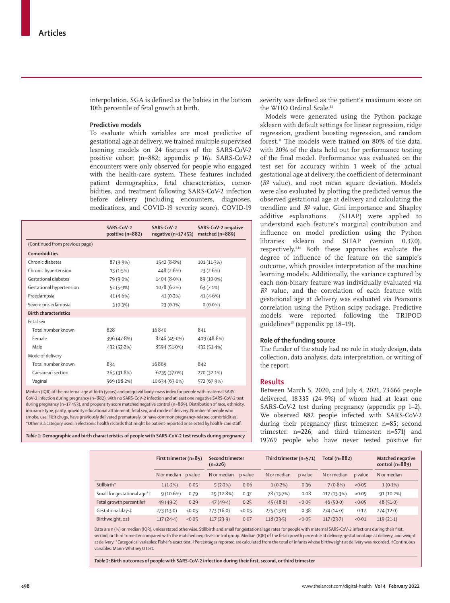interpolation. SGA is defined as the babies in the bottom 10th percentile of fetal growth at birth.

## **Predictive models**

To evaluate which variables are most predictive of gestational age at delivery, we trained multiple supervised learning models on 24 features of the SARS-CoV-2 positive cohort (n=882; appendix p 16). SARS-CoV-2 encounters were only observed for people who engaged with the health-care system. These features included patient demographics, fetal characteristics, comorbidities, and treatment following SARS-CoV-2 infection before delivery (including encounters, diagnoses, medications, and COVID-19 severity score). COVID-19

|                                | SARS-CoV-2<br>positive (n=882) | SARS-CoV-2<br>negative (n=17453) | SARS-CoV-2 negative<br>matched (n=889) |
|--------------------------------|--------------------------------|----------------------------------|----------------------------------------|
| (Continued from previous page) |                                |                                  |                                        |
| <b>Comorbidities</b>           |                                |                                  |                                        |
| Chronic diabetes               | 87 (9.9%)                      | 1542 (8.8%)                      | $101(11-3%)$                           |
| Chronic hypertension           | 13(1.5%)                       | 448 (2.6%)                       | 23(2.6%)                               |
| Gestational diabetes           | 79 (9.0%)                      | 1404 (8.0%)                      | 89 (10.0%)                             |
| Gestational hypertension       | 52 (5.9%)                      | 1078 (6.2%)                      | 63(7.1%)                               |
| Preeclampsia                   | 41 (4.6%)                      | $41(0.2\%)$                      | 41(4.6%)                               |
| Severe pre-eclampsia           | 3(0.3%)                        | 23 (0.1%)                        | $0(0.0\%)$                             |
| <b>Birth characteristics</b>   |                                |                                  |                                        |
| Fetal sex                      |                                |                                  |                                        |
| Total number known             | 828                            | 16840                            | 841                                    |
| Female                         | 396 (47.8%)                    | 8246 (49.0%)                     | 409 (48.6%)                            |
| Male                           | 432 (52.2%)                    | 8594 (51.0%)                     | 432 (51.4%)                            |
| Mode of delivery               |                                |                                  |                                        |
| Total number known             | 834                            | 16869                            | 842                                    |
| Caesarean section              | 265 (31.8%)                    | 6235 (37.0%)                     | 270 (32.1%)                            |
| Vaginal                        | 569 (68.2%)                    | 10 6 34 (6 3 0 %)                | 572 (67.9%)                            |
|                                |                                |                                  |                                        |

Median (IQR) of the maternal age at birth (years) and pregravid body-mass index for people with maternal SARS-CoV-2 infection during pregnancy (n=882), with no SARS-CoV-2 infection and at least one negative SARS-CoV-2 test during pregnancy (n=17453), and propensity score matched negative control (n=889). Distribution of race, ethnicity, insurance type, parity, gravidity educational attainment, fetal sex, and mode of delivery. Number of people who smoke, use illicit drugs, have previously delivered prematurely, or have common pregnancy-related comorbidities. \*Other is a category used in electronic health records that might be patient-reported or selected by health-care staff.

*Table 1:* **Demographic and birth characteristics of people with SARS-CoV-2 test results during pregnancy**

severity was defined as the patient's maximum score on the WHO Ordinal Scale.<sup>13</sup>

Models were generated using the Python package sklearn with default settings for linear regression, ridge regression, gradient boosting regression, and random forest.11 The models were trained on 80% of the data, with 20% of the data held out for performance testing of the final model. Performance was evaluated on the test set for accuracy within 1 week of the actual gestational age at delivery, the coefficient of determinant (*R*² value), and root mean square deviation. Models were also evaluated by plotting the predicted versus the observed gestational age at delivery and calculating the trendline and *R*² value. Gini importance and Shapley additive explanations (SHAP) were applied to understand each feature's marginal contribution and influence on model prediction using the Python libraries sklearn and SHAP (version 0.37.0), respectively.1,14 Both these approaches evaluate the degree of influence of the feature on the sample's outcome, which provides interpretation of the machine learning models. Additionally, the variance captured by each non-binary feature was individually evaluated via *R*² value, and the correlation of each feature with gestational age at delivery was evaluated via Pearson's correlation using the Python scipy package. Predictive models were reported following the TRIPOD guidelines<sup>15</sup> (appendix pp 18-19).

## **Role of the funding source**

The funder of the study had no role in study design, data collection, data analysis, data interpretation, or writing of the report.

### **Results**

Between March 5, 2020, and July 4, 2021, 73 666 people delivered, 18 335 (24·9%) of whom had at least one SARS-CoV-2 test during pregnancy (appendix pp 1–2). We observed 882 people infected with SARS-CoV-2 during their pregnancy (first trimester: n=85; second trimester: n=226; and third trimester: n=571) and 19769 people who have never tested positive for

|                             | First trimester (n=85) |        | Second trimester<br>$(n=226)$ |         | Third trimester (n=571) |         | Total (n=882) |         | <b>Matched negative</b><br>control $(n=889)$ |
|-----------------------------|------------------------|--------|-------------------------------|---------|-------------------------|---------|---------------|---------|----------------------------------------------|
|                             | N or median p value    |        | N or median                   | p value | N or median             | p value | N or median   | p value | N or median                                  |
| Stillbirth*                 | $1(1.2\%)$             | 0.05   | 5(2.2%)                       | 0.06    | $1(0.2\%)$              | 0.36    | $7(0.8\%)$    | < 0.05  | $1(0.1\%)$                                   |
| Small for gestational age*† | 9(10.6%)               | 0.79   | 29 (12.8%)                    | 0.37    | 78 (13.7%)              | 0.08    | 117 (13.3%)   | < 0.05  | $91(10.2\%)$                                 |
| Fetal growth percentile‡    | 49(49.2)               | 0.29   | 47(49.4)                      | 0.25    | 45(48.6)                | < 0.05  | 46(50.0)      | < 0.05  | 48(51.0)                                     |
| Gestational days‡           | 273(13.0)              | < 0.05 | 273(16.0)                     | < 0.05  | 275(13.0)               | 0.38    | 274(14.0)     | 0.12    | 274(12.0)                                    |
| Birthweight, oz‡            | 117(24.4)              | < 0.05 | 117(23.9)                     | 0.07    | 118(23.5)               | < 0.05  | 117(23.7)     | < 0.01  | 119(21.1)                                    |

Data are n (%) or median (IQR), unless stated otherwise. Stillbirth and small for gestational age rates for people with maternal SARS-CoV-2 infections during their first, second, or third trimester compared with the matched negative control group. Median (IQR) of the fetal growth percentile at delivery, gestational age at delivery, and weight at delivery. \*Categorical variables: Fisher's exact test. †Percentages reported are calculated from the total of infants whose birthweight at delivery was recorded. ‡Continuous variables: Mann-Whitney U test.

*Table 2:* **Birth outcomes of people with SARS-CoV-2 infection during their first, second, or third trimester**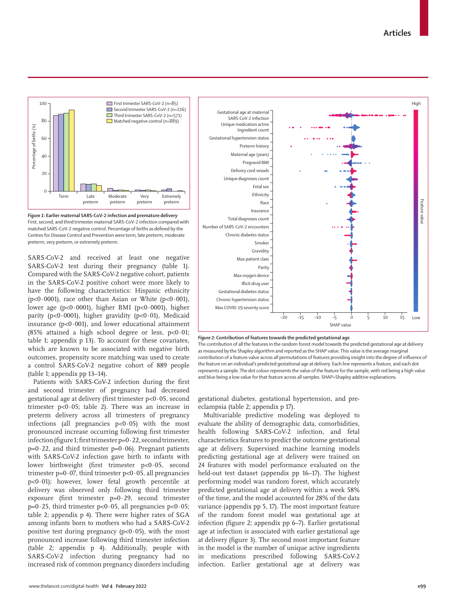High





SARS-CoV-2 and received at least one negative SARS-CoV-2 test during their pregnancy (table 1). Compared with the SARS-CoV-2 negative cohort, patients in the SARS-CoV-2 positive cohort were more likely to have the following characteristics: Hispanic ethnicity ( $p<0.0001$ ), race other than Asian or White ( $p<0.001$ ), lower age (p<0·0001), higher BMI (p<0·0001), higher parity (p<0.0001), higher gravidity (p<0.01), Medicaid insurance ( $p<0.001$ ), and lower educational attainment (85% attained a high school degree or less,  $p<0.01$ ; table 1; appendix p 13). To account for these covariates, which are known to be associated with negative birth outcomes, propensity score matching was used to create a control SARS-CoV-2 negative cohort of 889 people (table 1; appendix pp 13–14).

Patients with SARS-CoV-2 infection during the first and second trimester of pregnancy had decreased gestational age at delivery (first trimester p<0·05, second trimester  $p<0.05$ ; table 2). There was an increase in preterm delivery across all trimesters of pregnancy infections (all pregnancies  $p<0.05$ ) with the most pronounced increase occurring following first trimester infection (figure 1; first trimester  $p=0.22$ , second trimester,  $p=0.22$ , and third trimester  $p=0.06$ ). Pregnant patients with SARS-CoV-2 infection gave birth to infants with lower birthweight (first trimester p<0·05, second trimester  $p=0.07$ , third trimester  $p<0.05$ , all pregnancies p<0·01); however, lower fetal growth percentile at delivery was observed only following third trimester exposure (first trimester  $p=0.29$ , second trimester  $p=0.25$ , third trimester  $p<0.05$ , all pregnancies  $p<0.05$ ; table 2; appendix p 4). There were higher rates of SGA among infants born to mothers who had a SARS-CoV-2 positive test during pregnancy ( $p<0.05$ ), with the most pronounced increase following third trimester infection (table 2; appendix p 4). Additionally, people with SARS-CoV-2 infection during pregnancy had no increased risk of common pregnancy disorders including







The contribution of all the features in the random forest model towards the predicted gestational age at delivery as measured by the Shapley algorithm and reported as the SHAP value. This value is the average marginal contribution of a feature value across all permutations of features providing insight into the degree of influence of the feature on an individual's predicted gestational age at delivery. Each line represents a feature, and each dot represents a sample. The dot colour represents the value of the feature for the sample, with red being a high value and blue being a low value for that feature across all samples. SHAP=Shapley additive explanations.

gestational diabetes, gestational hypertension, and preeclampsia (table 2; appendix p 17).

Multivariable predictive modeling was deployed to evaluate the ability of demographic data, comorbidities, health following SARS-CoV-2 infection, and fetal characteristics features to predict the outcome gestational age at delivery. Supervised machine learning models predicting gestational age at delivery were trained on 24 features with model performance evaluated on the held-out test dataset (appendix pp 16–17). The highest performing model was random forest, which accurately predicted gestational age at delivery within a week 58% of the time, and the model accounted for 28% of the data variance (appendix pp 5, 17). The most important feature of the random forest model was gestational age at infection (figure 2; appendix pp 6–7). Earlier gestational age at infection is associated with earlier gestational age at delivery (figure 3). The second most important feature in the model is the number of unique active ingredients in medications prescribed following SARS-CoV-2 infection. Earlier gestational age at delivery was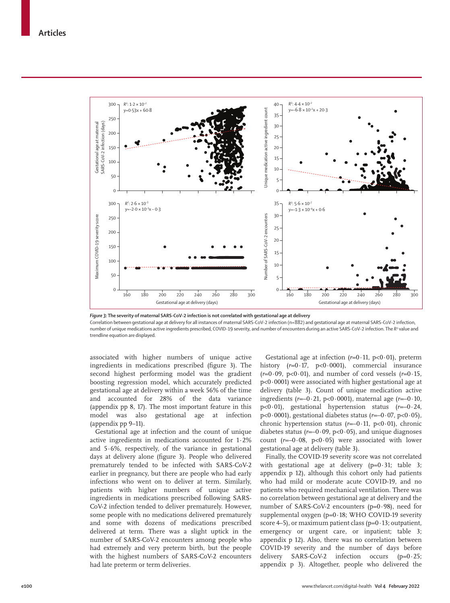

*Figure 3:* **The severity of maternal SARS-CoV-2 infection is not correlated with gestational age at delivery**

Correlation between gestational age at delivery for all instances of maternal SARS-CoV-2 infection (n=882) and gestational age at maternal SARS-CoV-2 infection, number of unique medications active ingredients prescribed, COVID-19 severity, and number of encounters during an active SARS-CoV-2 infection. The *R2* value and trendline equation are displayed.

associated with higher numbers of unique active ingredients in medications prescribed (figure 3). The second highest performing model was the gradient boosting regression model, which accurately predicted gestational age at delivery within a week 56% of the time and accounted for 28% of the data variance (appendix pp 8, 17). The most important feature in this model was also gestational age at infection (appendix pp 9–11).

Gestational age at infection and the count of unique active ingredients in medications accounted for 1·2% and  $5.6\%$ , respectively, of the variance in gestational days at delivery alone (figure 3). People who delivered prematurely tended to be infected with SARS-CoV-2 earlier in pregnancy, but there are people who had early infections who went on to deliver at term. Similarly, patients with higher numbers of unique active ingredients in medications prescribed following SARS-CoV-2 infection tended to deliver prematurely. However, some people with no medications delivered prematurely and some with dozens of medications prescribed delivered at term. There was a slight uptick in the number of SARS-CoV-2 encounters among people who had extremely and very preterm birth, but the people with the highest numbers of SARS-CoV-2 encounters had late preterm or term deliveries.

Gestational age at infection  $(r=0.11, p<0.01)$ , preterm history (*r*=0·17, p<0·0001), commercial insurance  $(r=0.09, p<0.01)$ , and number of cord vessels  $(r=0.15,$ p<0·0001) were associated with higher gestational age at delivery (table 3). Count of unique medication active ingredients (*r*=–0·21, p<0·0001), maternal age (*r*=–0·10, p<0·01), gestational hypertension status (*r*=–0·24, p<0·0001), gestational diabetes status  $(r=-0.07, p<0.05)$ , chronic hypertension status (*r*=–0·11, p<0·01), chronic diabetes status  $(r=-0.09, p<0.05)$ , and unique diagnoses count  $(r=-0.08, p<0.05)$  were associated with lower gestational age at delivery (table 3).

Finally, the COVID-19 severity score was not correlated with gestational age at delivery  $(p=0.31;$  table 3; appendix p 12), although this cohort only had patients who had mild or moderate acute COVID-19, and no patients who required mechanical ventilation. There was no correlation between gestational age at delivery and the number of SARS-CoV-2 encounters (p=0·98), need for supplemental oxygen ( $p=0.18$ ; WHO COVID-19 severity score  $4-5$ ), or maximum patient class ( $p=0.13$ ; outpatient, emergency or urgent care, or inpatient; table 3; appendix p 12). Also, there was no correlation between COVID-19 severity and the number of days before delivery SARS-CoV-2 infection occurs (p=0·25; appendix p 3). Altogether, people who delivered the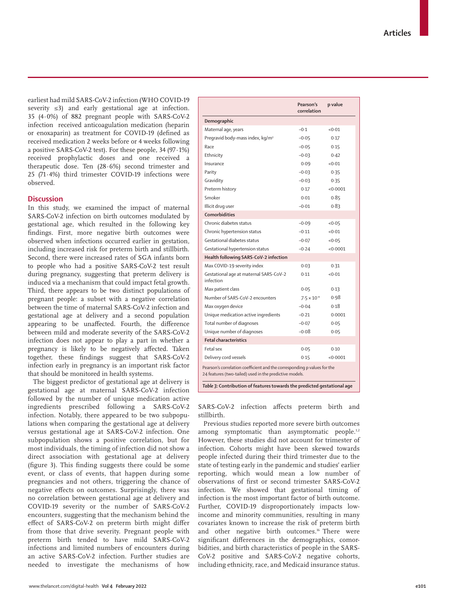earliest had mild SARS-CoV-2 infection (WHO COVID-19 severity ≤3) and early gestational age at infection. 35 (4·0%) of 882 pregnant people with SARS-CoV-2 infection received anticoagulation medication (heparin or enoxaparin) as treatment for COVID-19 (defined as received medication 2 weeks before or 4 weeks following a positive SARS-CoV-2 test). For these people, 34 (97·1%) received prophylactic doses and one received a therapeutic dose. Ten (28·6%) second trimester and 25 (71·4%) third trimester COVID-19 infections were observed.

# **Discussion**

In this study, we examined the impact of maternal SARS-CoV-2 infection on birth outcomes modulated by gestational age, which resulted in the following key findings. First, more negative birth outcomes were observed when infections occurred earlier in gestation, including increased risk for preterm birth and stillbirth. Second, there were increased rates of SGA infants born to people who had a positive SARS-CoV-2 test result during pregnancy, suggesting that preterm delivery is induced via a mechanism that could impact fetal growth. Third, there appears to be two distinct populations of pregnant people: a subset with a negative correlation between the time of maternal SARS-CoV-2 infection and gestational age at delivery and a second population appearing to be unaffected. Fourth, the difference between mild and moderate severity of the SARS-CoV-2 infection does not appear to play a part in whether a pregnancy is likely to be negatively affected. Taken together, these findings suggest that SARS-CoV-2 infection early in pregnancy is an important risk factor that should be monitored in health systems.

The biggest predictor of gestational age at delivery is gestational age at maternal SARS-CoV-2 infection followed by the number of unique medication active ingredients prescribed following a SARS-CoV-2 infection. Notably, there appeared to be two subpopulations when comparing the gestational age at delivery versus gestational age at SARS-CoV-2 infection. One subpopulation shows a positive correlation, but for most individuals, the timing of infection did not show a direct association with gestational age at delivery (figure 3). This finding suggests there could be some event, or class of events, that happen during some pregnancies and not others, triggering the chance of negative effects on outcomes. Surprisingly, there was no correlation between gestational age at delivery and COVID-19 severity or the number of SARS-CoV-2 encounters, suggesting that the mechanism behind the effect of SARS-CoV-2 on preterm birth might differ from those that drive severity. Pregnant people with preterm birth tended to have mild SARS-CoV-2 infections and limited numbers of encounters during an active SARS-CoV-2 infection. Further studies are needed to investigate the mechanisms of how

|                                                                                                                                     | Pearson's<br>correlation | p value  |  |  |
|-------------------------------------------------------------------------------------------------------------------------------------|--------------------------|----------|--|--|
| Demographic                                                                                                                         |                          |          |  |  |
| Maternal age, years                                                                                                                 | $-0.1$                   | < 0.01   |  |  |
| Pregravid body-mass index, kg/m <sup>2</sup>                                                                                        | $-0.05$                  | 0.17     |  |  |
| Race                                                                                                                                | $-0.05$                  | 0.15     |  |  |
| Ethnicity                                                                                                                           | $-0.03$                  | 0.42     |  |  |
| Insurance                                                                                                                           | 0.09                     | < 0.01   |  |  |
| Parity                                                                                                                              | $-0.03$                  | 0.35     |  |  |
| Gravidity                                                                                                                           | $-0.03$                  | 0.35     |  |  |
| Preterm history                                                                                                                     | 0.17                     | < 0.0001 |  |  |
| Smoker                                                                                                                              | 0.01                     | 0.85     |  |  |
| Illicit drug user                                                                                                                   | $-0.01$                  | 0.83     |  |  |
| Comorbidities                                                                                                                       |                          |          |  |  |
| Chronic diabetes status                                                                                                             | $-0.09$                  | <0.05    |  |  |
| Chronic hypertension status                                                                                                         | $-0.11$                  | < 0.01   |  |  |
| Gestational diabetes status                                                                                                         | $-0.07$                  | <0.05    |  |  |
| Gestational hypertension status                                                                                                     | $-0.24$                  | < 0.0001 |  |  |
| Health following SARS-CoV-2 infection                                                                                               |                          |          |  |  |
| Max COVID-19 severity index                                                                                                         | 0.03                     | 0.31     |  |  |
| Gestational age at maternal SARS-CoV-2<br>infection                                                                                 | 0.11                     | < 0.01   |  |  |
| Max patient class                                                                                                                   | 0.05                     | 0.13     |  |  |
| Number of SARS-CoV-2 encounters                                                                                                     | $7.5 \times 10^{-4}$     | 0.98     |  |  |
| Max oxygen device                                                                                                                   | $-0.04$                  | 0.18     |  |  |
| Unique medication active ingredients                                                                                                | $-0.21$                  | 0.0001   |  |  |
| Total number of diagnoses                                                                                                           | $-0.07$                  | 0.05     |  |  |
| Unique number of diagnoses                                                                                                          | $-0.08$                  | 0.05     |  |  |
| <b>Fetal characteristics</b>                                                                                                        |                          |          |  |  |
| Fetal sex                                                                                                                           | 0.05                     | 0.10     |  |  |
| Delivery cord vessels                                                                                                               | 0.15                     | < 0.0001 |  |  |
| Pearson's correlation coefficient and the corresponding p values for the<br>24 features (two-tailed) used in the predictive models. |                          |          |  |  |
| Table 3: Contribution of features towards the predicted gestational age                                                             |                          |          |  |  |

SARS-CoV-2 infection affects preterm birth and stillbirth.

Previous studies reported more severe birth outcomes among symptomatic than asymptomatic people.<sup>1,2</sup> However, these studies did not account for trimester of infection. Cohorts might have been skewed towards people infected during their third trimester due to the state of testing early in the pandemic and studies' earlier reporting, which would mean a low number of observations of first or second trimester SARS-CoV-2 infection. We showed that gestational timing of infection is the most important factor of birth outcome. Further, COVID-19 disproportionately impacts lowincome and minority communities, resulting in many covariates known to increase the risk of preterm birth and other negative birth outcomes.<sup>16</sup> There were significant differences in the demographics, comorbidities, and birth characteristics of people in the SARS-CoV-2 positive and SARS-CoV-2 negative cohorts, including ethnicity, race, and Medicaid insurance status.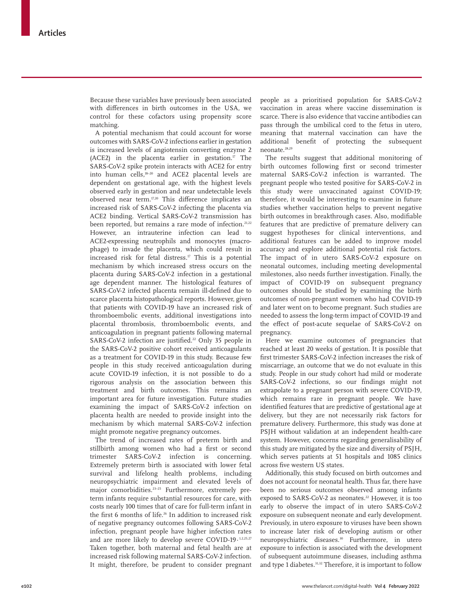Because these variables have previously been associated with differences in birth outcomes in the USA, we control for these cofactors using propensity score matching.

A potential mechanism that could account for worse outcomes with SARS-CoV-2 infections earlier in gestation is increased levels of angiotensin converting enzyme 2 (ACE2) in the placenta earlier in gestation.<sup>17</sup> The SARS-CoV-2 spike protein interacts with ACE2 for entry into human cells,18–20 and ACE2 placental levels are dependent on gestational age, with the highest levels observed early in gestation and near undetectable levels observed near term.17,20 This difference implicates an increased risk of SARS-CoV-2 infecting the placenta via ACE2 binding. Vertical SARS-CoV-2 transmission has been reported, but remains a rare mode of infection.<sup>21,22</sup> However, an intrauterine infection can lead to ACE2-expressing neutrophils and monocytes (macrophage) to invade the placenta, which could result in increased risk for fetal distress.<sup>17</sup> This is a potential mechanism by which increased stress occurs on the placenta during SARS-CoV-2 infection in a gestational age dependent manner. The histological features of SARS-CoV-2 infected placenta remain ill-defined due to scarce placenta histopathological reports. However, given that patients with COVID-19 have an increased risk of thromboembolic events, additional investigations into placental thrombosis, thromboembolic events, and anticoagulation in pregnant patients following maternal SARS-CoV-2 infection are justified.<sup>22</sup> Only 35 people in the SARS-CoV-2 positive cohort received anticoagulants as a treatment for COVID-19 in this study. Because few people in this study received anticoagulation during acute COVID-19 infection, it is not possible to do a rigorous analysis on the association between this treatment and birth outcomes. This remains an important area for future investigation. Future studies examining the impact of SARS-CoV-2 infection on placenta health are needed to provide insight into the mechanism by which maternal SARS-CoV-2 infection might promote negative pregnancy outcomes.

The trend of increased rates of preterm birth and stillbirth among women who had a first or second trimester SARS-CoV-2 infection is concerning. Extremely preterm birth is associated with lower fetal survival and lifelong health problems, including neuropsychiatric impairment and elevated levels of major comorbidities.23–25 Furthermore, extremely preterm infants require substantial resources for care, with costs nearly 100 times that of care for full-term infant in the first 6 months of life.<sup>26</sup> In addition to increased risk of negative pregnancy outcomes following SARS-CoV-2 infection, pregnant people have higher infection rates and are more likely to develop severe COVID-19.1,2,25,27 Taken together, both maternal and fetal health are at increased risk following maternal SARS-CoV-2 infection. It might, therefore, be prudent to consider pregnant people as a prioritised population for SARS-CoV-2 vaccination in areas where vaccine dissemination is scarce. There is also evidence that vaccine antibodies can pass through the umbilical cord to the fetus in utero, meaning that maternal vaccination can have the additional benefit of protecting the subsequent neonate.28,29

The results suggest that additional monitoring of birth outcomes following first or second trimester maternal SARS-CoV-2 infection is warranted. The pregnant people who tested positive for SARS-CoV-2 in this study were unvaccinated against COVID-19; therefore, it would be interesting to examine in future studies whether vaccination helps to prevent negative birth outcomes in breakthrough cases. Also, modifiable features that are predictive of premature delivery can suggest hypotheses for clinical interventions, and additional features can be added to improve model accuracy and explore additional potential risk factors. The impact of in utero SARS-CoV-2 exposure on neonatal outcomes, including meeting developmental milestones, also needs further investigation. Finally, the impact of COVID-19 on subsequent pregnancy outcomes should be studied by examining the birth outcomes of non-pregnant women who had COVID-19 and later went on to become pregnant. Such studies are needed to assess the long-term impact of COVID-19 and the effect of post-acute sequelae of SARS-CoV-2 on pregnancy.

Here we examine outcomes of pregnancies that reached at least 20 weeks of gestation. It is possible that first trimester SARS-CoV-2 infection increases the risk of miscarriage, an outcome that we do not evaluate in this study. People in our study cohort had mild or moderate SARS-CoV-2 infections, so our findings might not extrapolate to a pregnant person with severe COVID-19, which remains rare in pregnant people. We have identified features that are predictive of gestational age at delivery, but they are not necessarily risk factors for premature delivery. Furthermore, this study was done at PSJH without validation at an independent health-care system. However, concerns regarding generalisability of this study are mitigated by the size and diversity of PSJH, which serves patients at 51 hospitals and 1085 clinics across five western US states.

Additionally, this study focused on birth outcomes and does not account for neonatal health. Thus far, there have been no serious outcomes observed among infants exposed to SARS-CoV-2 as neonates.<sup>22</sup> However, it is too early to observe the impact of in utero SARS-CoV-2 exposure on subsequent neonate and early development. Previously, in utero exposure to viruses have been shown to increase later risk of developing autism or other neuropsychiatric diseases.<sup>30</sup> Furthermore, in utero exposure to infection is associated with the development of subsequent autoimmune diseases, including asthma and type 1 diabetes.<sup>31,32</sup> Therefore, it is important to follow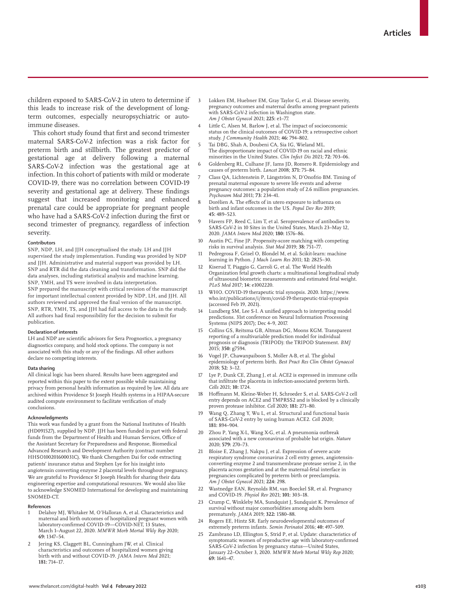children exposed to SARS-CoV-2 in utero to determine if this leads to increase risk of the development of longterm outcomes, especially neuropsychiatric or autoimmune diseases.

This cohort study found that first and second trimester maternal SARS-CoV-2 infection was a risk factor for preterm birth and stillbirth. The greatest predictor of gestational age at delivery following a maternal SARS-CoV-2 infection was the gestational age at infection. In this cohort of patients with mild or moderate COVID-19, there was no correlation between COVID-19 severity and gestational age at delivery. These findings suggest that increased monitoring and enhanced prenatal care could be appropriate for pregnant people who have had a SARS-CoV-2 infection during the first or second trimester of pregnancy, regardless of infection severity.

#### **Contributors**

SNP, NDP, LH, and JJH conceptualised the study. LH and JJH supervised the study implementation. Funding was provided by NDP and JJH. Administrative and material support was provided by LH. SNP and RTR did the data cleaning and transformation. SNP did the data analyses, including statistical analysis and machine learning. SNP, YMH, and TS were involved in data interpretation. SNP prepared the manuscript with critical revision of the manuscript for important intellectual content provided by NDP, LH, and JJH. All authors reviewed and approved the final version of the manuscript. SNP, RTR, YMH, TS, and JJH had full access to the data in the study. All authors had final responsibility for the decision to submit for publication.

#### **Declaration of interests**

LH and NDP are scientific advisors for Sera Prognostics, a pregnancy diagnostics company, and hold stock options. The company is not associated with this study or any of the findings. All other authors declare no competing interests.

## **Data sharing**

All clinical logic has been shared. Results have been aggregated and reported within this paper to the extent possible while maintaining privacy from personal health information as required by law. All data are archived within Providence St Joseph Health systems in a HIPAA-secure audited compute environment to facilitate verification of study conclusions.

#### **Acknowledgments**

This work was funded by a grant from the National Institutes of Health (HD091527), supplied by NDP. JJH has been funded in part with federal funds from the Department of Health and Human Services, Office of the Assistant Secretary for Preparedness and Response, Biomedical Advanced Research and Development Authority (contract number HHSO100201600031C). We thank Chengzhen Dai for code extracting patients' insurance status and Stephen Lye for his insight into angiotensin converting enzyme 2 placental levels throughout pregnancy. We are grateful to Providence St Joseph Health for sharing their data engineering expertise and computational resources. We would also like to acknowledge SNOMED International for developing and maintaining SNOMED-CT.

#### **References**

- 1 Delahoy MJ, Whitaker M, O'Halloran A, et al. Characteristics and maternal and birth outcomes of hospitalized pregnant women with laboratory-confirmed COVID-19—COVID-NET, 13 States, March 1–August 22, 2020. *MMWR Morb Mortal Wkly Rep* 2020; **69:** 1347–54.
- Jering KS, Claggett BL, Cunningham JW, et al. Clinical characteristics and outcomes of hospitalized women giving birth with and without COVID-19. *JAMA Intern Med* 2021; **181:** 714–17.
- Lokken EM, Huebner EM, Gray Taylor G, et al. Disease severity, pregnancy outcomes and maternal deaths among pregnant patients with SARS-CoV-2 infection in Washington state. *Am J Obstet Gynecol* 2021; **225:** e1–77.
- Little C, Alsen M, Barlow J, et al. The impact of socioeconomic status on the clinical outcomes of COVID-19; a retrospective cohort study. *J Community Health* 2021; **46:** 794–802.
- 5 Tai DBG, Shah A, Doubeni CA, Sia IG, Wieland ML. The disproportionate impact of COVID-19 on racial and ethnic minorities in the United States. *Clin Infect Dis* 2021; **72:** 703–06.
- 6 Goldenberg RL, Culhane JF, Iams JD, Romero R. Epidemiology and causes of preterm birth. *Lancet* 2008; **371:** 75–84.
- 7 Class QA, Lichtenstein P, Långström N, D'Onofrio BM. Timing of prenatal maternal exposure to severe life events and adverse pregnancy outcomes: a population study of 2.6 million pregnancies. *Psychosom Med* 2011; **73:** 234–41.
- 8 Dorélien A. The effects of in utero exposure to influenza on birth and infant outcomes in the US. *Popul Dev Rev* 2019; **45:** 489–523.
- 9 Havers FP, Reed C, Lim T, et al. Seroprevalence of antibodies to SARS-CoV-2 in 10 Sites in the United States, March 23–May 12, 2020. *JAMA Intern Med* 2020; **180:** 1576–86.
- 10 Austin PC, Fine JP. Propensity-score matching with competing risks in survival analysis. *Stat Med* 2019; **38:** 751–77.
- 11 Pedregrosa F, Grisel O, Blondel M, et al. Scikit-learn: machine learning in Python. *J Mach Learn Res* 2011; **12:** 2825–30.
- 12 Kiserud T, Piaggio G, Carroli G, et al. The World Health Organization fetal growth charts: a multinational longitudinal study of ultrasound biometric measurements and estimated fetal weight. *PLoS Med* 2017; **14:** e1002220.
- 13 WHO. COVID-19 therapeutic trial synopsis. 2020. https://www. who.int/publications/i/item/covid-19-therapeutic-trial-synopsis (accessed Feb 19, 2021).
- Lundberg SM, Lee S-I. A unified approach to interpreting model predictions. 31st conference on Neural Information Processing Systems (NIPS 2017); Dec 4–9, 2017.
- 15 Collins GS, Reitsma GB, Altman DG, Moons KGM. Transparent reporting of a multivariable prediction model for individual prognosis or diagnosis (TRIPOD): the TRIPOD Statement. *BMJ* 2015; **350:** g7594.
- 16 Vogel JP, Chawanpaiboon S, Moller A-B, et al. The global epidemiology of preterm birth. *Best Pract Res Clin Obstet Gynaecol* 2018; **52:** 3–12.
- 17 Lye P, Dunk CE, Zhang J, et al. ACE2 is expressed in immune cells that infiltrate the placenta in infection-associated preterm birth. *Cells* 2021; **10:** 1724.
- 18 Hoffmann M, Kleine-Weber H, Schroeder S, et al. SARS-CoV-2 cell entry depends on ACE2 and TMPRSS2 and is blocked by a clinically proven protease inhibitor. *Cell* 2020; **181:** 271–80.
- 19 Wang Q, Zhang Y, Wu L, et al. Structural and functional basis of SARS-CoV-2 entry by using human ACE2. *Cell* 2020; **181:** 894–904.
- 20 Zhou P, Yang X-L, Wang X-G, et al. A pneumonia outbreak associated with a new coronavirus of probable bat origin. *Nature* 2020; **579:** 270–73.
- 21 Bloise E, Zhang J, Nakpu J, et al. Expression of severe acute respiratory syndrome coronavirus 2 cell entry genes, angiotensinconverting enzyme 2 and transmembrane protease serine 2, in the placenta across gestation and at the maternal-fetal interface in pregnancies complicated by preterm birth or preeclampsia. *Am J Obstet Gynecol* 2021; **224:** 298.
- 22 Wastnedge EAN, Reynolds RM, van Boeckel SR, et al. Pregnancy and COVID-19. *Physiol Rev* 2021; **101:** 303–18.
- 23 Crump C, Winkleby MA, Sundquist J, Sundquist K. Prevalence of survival without major comorbidities among adults born prematurely. *JAMA* 2019; **322:** 1580–88.
- 24 Rogers EE, Hintz SR. Early neurodevelopmental outcomes of extremely preterm infants. *Semin Perinatol* 2016; **40:** 497–509.
- Zambrano LD, Ellington S, Strid P, et al. Update: characteristics of symptomatic women of reproductive age with laboratory-confirmed SARS-CoV-2 infection by pregnancy status—United States, January 22–October 3, 2020. *MMWR Morb Mortal Wkly Rep* 2020; **69:** 1641–47.